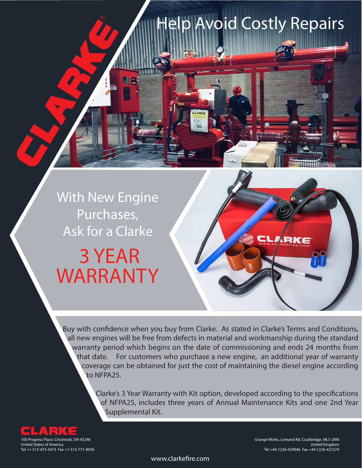## With New Engine Purchases, Ask for a Clarke

## WARRANTY 3 YEAR

Buy with confidence when you buy from Clarke. As stated in Clarke's Terms and Conditions, all new engines will be free from defects in material and workmanship during the standard warranty period which begins on the date of commissioning and ends 24 months from that date. For customers who purchase a new engine, an additional year of warranty coverage can be obtained for just the cost of maintaining the diesel engine according to NFPA25.

> Clarke's 3 Year Warranty with Kit option, developed according to the specifications of NFPA25, includes three years of Annual Maintenance Kits and one 2nd Year Supplemental Kit.

Help Avoid Costly Repairs



Grange Works, Lomand Rd, Coatbridge, ML5-2NN United Kingdom Tel +44-1236-429946 Fax +44-1236-427274

**LLARKE** 

www.clarkefire.com